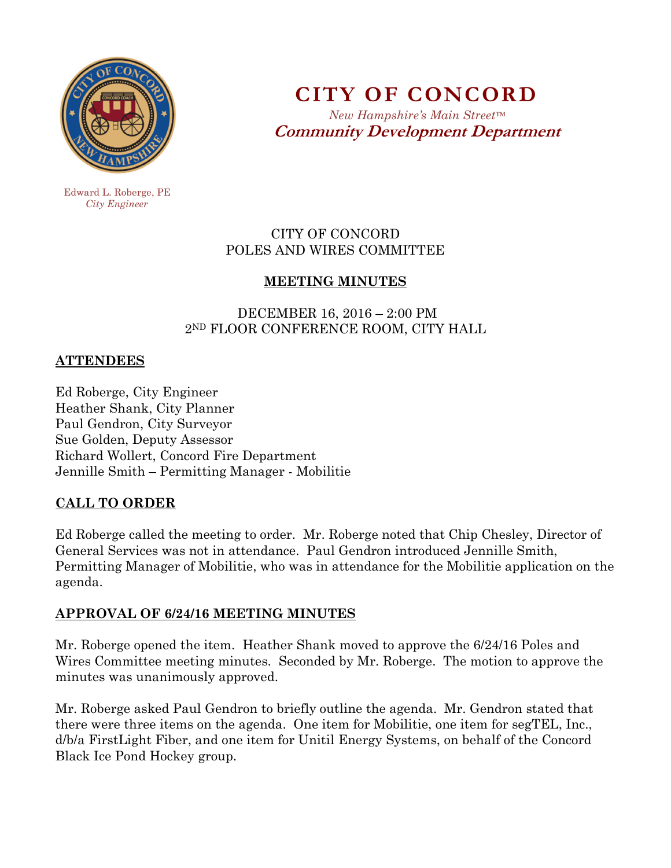

**CITY OF CONCORD** 

*New Hampshire's Main Street™* **Community Development Department** 

 Edward L. Roberge, PE  *City Engineer* 

## CITY OF CONCORD POLES AND WIRES COMMITTEE

## **MEETING MINUTES**

 DECEMBER 16, 2016 – 2:00 PM 2ND FLOOR CONFERENCE ROOM, CITY HALL

## **ATTENDEES**

Ed Roberge, City Engineer Heather Shank, City Planner Paul Gendron, City Surveyor Sue Golden, Deputy Assessor Richard Wollert, Concord Fire Department Jennille Smith – Permitting Manager - Mobilitie

## **CALL TO ORDER**

Ed Roberge called the meeting to order. Mr. Roberge noted that Chip Chesley, Director of General Services was not in attendance. Paul Gendron introduced Jennille Smith, Permitting Manager of Mobilitie, who was in attendance for the Mobilitie application on the agenda.

## **APPROVAL OF 6/24/16 MEETING MINUTES**

Mr. Roberge opened the item. Heather Shank moved to approve the 6/24/16 Poles and Wires Committee meeting minutes. Seconded by Mr. Roberge. The motion to approve the minutes was unanimously approved.

Mr. Roberge asked Paul Gendron to briefly outline the agenda. Mr. Gendron stated that there were three items on the agenda. One item for Mobilitie, one item for segTEL, Inc., d/b/a FirstLight Fiber, and one item for Unitil Energy Systems, on behalf of the Concord Black Ice Pond Hockey group.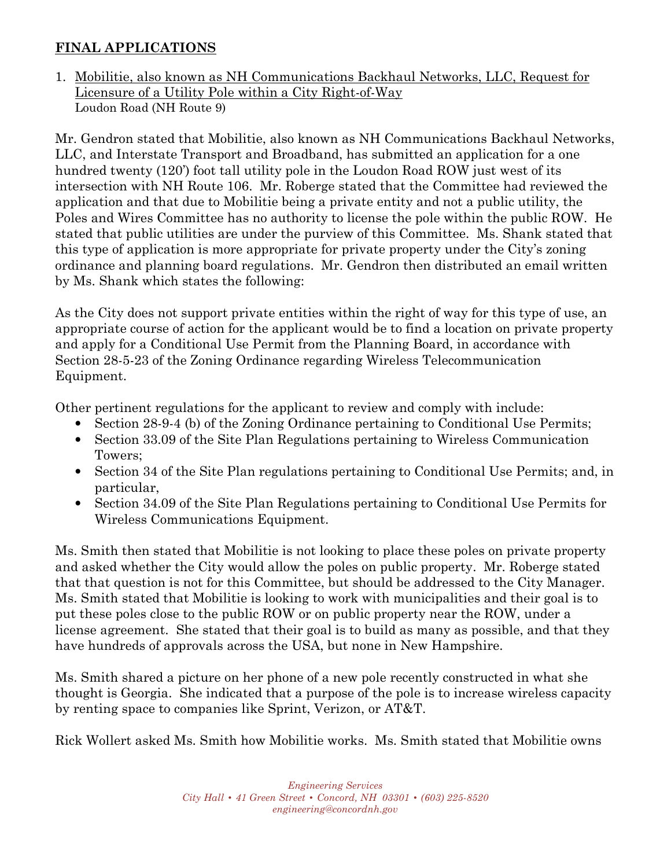# **FINAL APPLICATIONS**

1. Mobilitie, also known as NH Communications Backhaul Networks, LLC, Request for Licensure of a Utility Pole within a City Right-of-Way Loudon Road (NH Route 9)

Mr. Gendron stated that Mobilitie, also known as NH Communications Backhaul Networks, LLC, and Interstate Transport and Broadband, has submitted an application for a one hundred twenty (120') foot tall utility pole in the Loudon Road ROW just west of its intersection with NH Route 106. Mr. Roberge stated that the Committee had reviewed the application and that due to Mobilitie being a private entity and not a public utility, the Poles and Wires Committee has no authority to license the pole within the public ROW. He stated that public utilities are under the purview of this Committee. Ms. Shank stated that this type of application is more appropriate for private property under the City's zoning ordinance and planning board regulations. Mr. Gendron then distributed an email written by Ms. Shank which states the following:

As the City does not support private entities within the right of way for this type of use, an appropriate course of action for the applicant would be to find a location on private property and apply for a Conditional Use Permit from the Planning Board, in accordance with Section 28-5-23 of the Zoning Ordinance regarding Wireless Telecommunication Equipment.

Other pertinent regulations for the applicant to review and comply with include:

- Section 28-9-4 (b) of the Zoning Ordinance pertaining to Conditional Use Permits;
- Section 33.09 of the Site Plan Regulations pertaining to Wireless Communication Towers;
- Section 34 of the Site Plan regulations pertaining to Conditional Use Permits; and, in particular,
- Section 34.09 of the Site Plan Regulations pertaining to Conditional Use Permits for Wireless Communications Equipment.

Ms. Smith then stated that Mobilitie is not looking to place these poles on private property and asked whether the City would allow the poles on public property. Mr. Roberge stated that that question is not for this Committee, but should be addressed to the City Manager. Ms. Smith stated that Mobilitie is looking to work with municipalities and their goal is to put these poles close to the public ROW or on public property near the ROW, under a license agreement. She stated that their goal is to build as many as possible, and that they have hundreds of approvals across the USA, but none in New Hampshire.

Ms. Smith shared a picture on her phone of a new pole recently constructed in what she thought is Georgia. She indicated that a purpose of the pole is to increase wireless capacity by renting space to companies like Sprint, Verizon, or AT&T.

Rick Wollert asked Ms. Smith how Mobilitie works. Ms. Smith stated that Mobilitie owns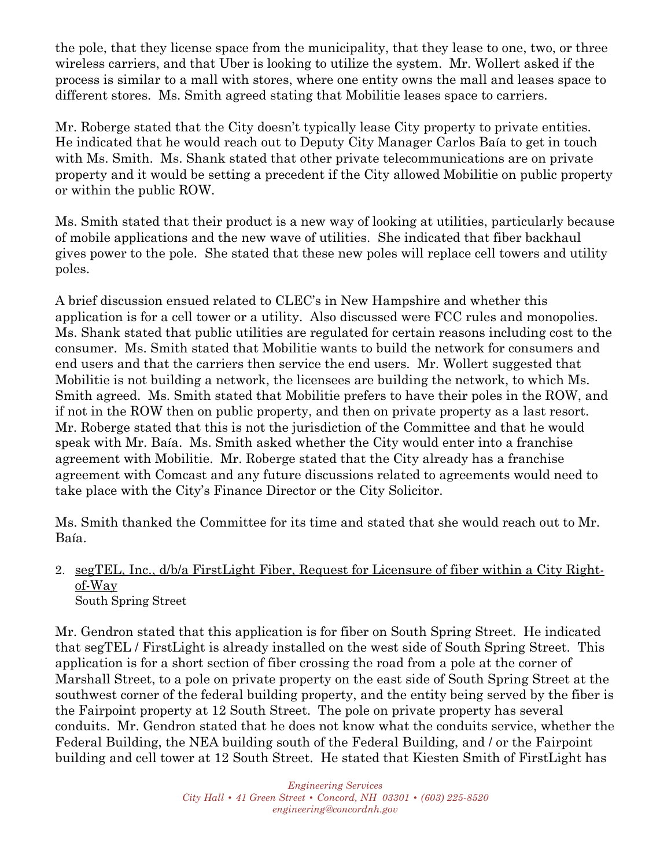the pole, that they license space from the municipality, that they lease to one, two, or three wireless carriers, and that Uber is looking to utilize the system. Mr. Wollert asked if the process is similar to a mall with stores, where one entity owns the mall and leases space to different stores. Ms. Smith agreed stating that Mobilitie leases space to carriers.

Mr. Roberge stated that the City doesn't typically lease City property to private entities. He indicated that he would reach out to Deputy City Manager Carlos Baía to get in touch with Ms. Smith. Ms. Shank stated that other private telecommunications are on private property and it would be setting a precedent if the City allowed Mobilitie on public property or within the public ROW.

Ms. Smith stated that their product is a new way of looking at utilities, particularly because of mobile applications and the new wave of utilities. She indicated that fiber backhaul gives power to the pole. She stated that these new poles will replace cell towers and utility poles.

A brief discussion ensued related to CLEC's in New Hampshire and whether this application is for a cell tower or a utility. Also discussed were FCC rules and monopolies. Ms. Shank stated that public utilities are regulated for certain reasons including cost to the consumer. Ms. Smith stated that Mobilitie wants to build the network for consumers and end users and that the carriers then service the end users. Mr. Wollert suggested that Mobilitie is not building a network, the licensees are building the network, to which Ms. Smith agreed. Ms. Smith stated that Mobilitie prefers to have their poles in the ROW, and if not in the ROW then on public property, and then on private property as a last resort. Mr. Roberge stated that this is not the jurisdiction of the Committee and that he would speak with Mr. Baía. Ms. Smith asked whether the City would enter into a franchise agreement with Mobilitie. Mr. Roberge stated that the City already has a franchise agreement with Comcast and any future discussions related to agreements would need to take place with the City's Finance Director or the City Solicitor.

Ms. Smith thanked the Committee for its time and stated that she would reach out to Mr. Baía.

#### 2. segTEL, Inc., d/b/a FirstLight Fiber, Request for Licensure of fiber within a City Rightof-Way South Spring Street

Mr. Gendron stated that this application is for fiber on South Spring Street. He indicated that segTEL / FirstLight is already installed on the west side of South Spring Street. This application is for a short section of fiber crossing the road from a pole at the corner of Marshall Street, to a pole on private property on the east side of South Spring Street at the southwest corner of the federal building property, and the entity being served by the fiber is the Fairpoint property at 12 South Street. The pole on private property has several conduits. Mr. Gendron stated that he does not know what the conduits service, whether the Federal Building, the NEA building south of the Federal Building, and / or the Fairpoint building and cell tower at 12 South Street. He stated that Kiesten Smith of FirstLight has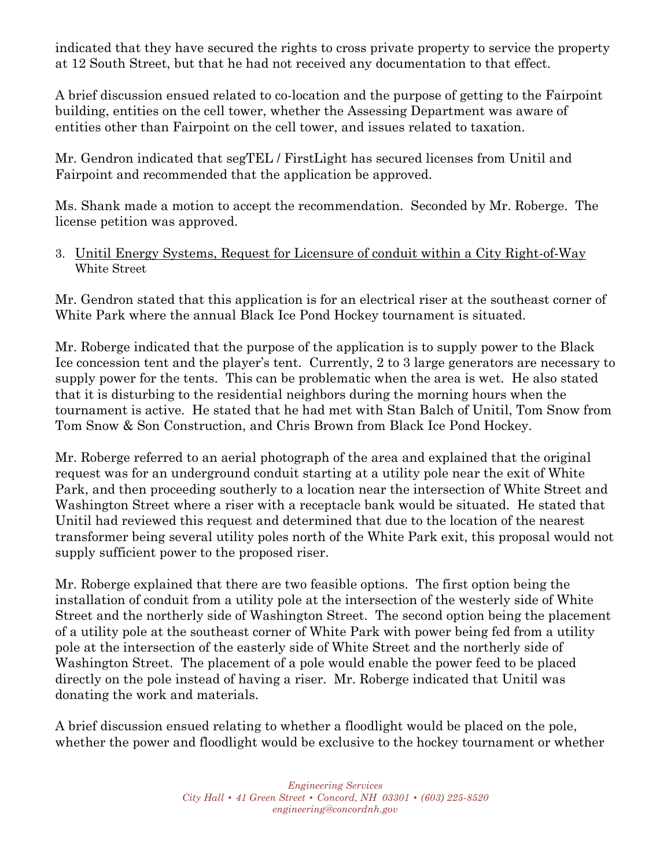indicated that they have secured the rights to cross private property to service the property at 12 South Street, but that he had not received any documentation to that effect.

A brief discussion ensued related to co-location and the purpose of getting to the Fairpoint building, entities on the cell tower, whether the Assessing Department was aware of entities other than Fairpoint on the cell tower, and issues related to taxation.

Mr. Gendron indicated that segTEL / FirstLight has secured licenses from Unitil and Fairpoint and recommended that the application be approved.

Ms. Shank made a motion to accept the recommendation. Seconded by Mr. Roberge. The license petition was approved.

#### 3. Unitil Energy Systems, Request for Licensure of conduit within a City Right-of-Way White Street

Mr. Gendron stated that this application is for an electrical riser at the southeast corner of White Park where the annual Black Ice Pond Hockey tournament is situated.

Mr. Roberge indicated that the purpose of the application is to supply power to the Black Ice concession tent and the player's tent. Currently, 2 to 3 large generators are necessary to supply power for the tents. This can be problematic when the area is wet. He also stated that it is disturbing to the residential neighbors during the morning hours when the tournament is active. He stated that he had met with Stan Balch of Unitil, Tom Snow from Tom Snow & Son Construction, and Chris Brown from Black Ice Pond Hockey.

Mr. Roberge referred to an aerial photograph of the area and explained that the original request was for an underground conduit starting at a utility pole near the exit of White Park, and then proceeding southerly to a location near the intersection of White Street and Washington Street where a riser with a receptacle bank would be situated. He stated that Unitil had reviewed this request and determined that due to the location of the nearest transformer being several utility poles north of the White Park exit, this proposal would not supply sufficient power to the proposed riser.

Mr. Roberge explained that there are two feasible options. The first option being the installation of conduit from a utility pole at the intersection of the westerly side of White Street and the northerly side of Washington Street. The second option being the placement of a utility pole at the southeast corner of White Park with power being fed from a utility pole at the intersection of the easterly side of White Street and the northerly side of Washington Street. The placement of a pole would enable the power feed to be placed directly on the pole instead of having a riser. Mr. Roberge indicated that Unitil was donating the work and materials.

A brief discussion ensued relating to whether a floodlight would be placed on the pole, whether the power and floodlight would be exclusive to the hockey tournament or whether